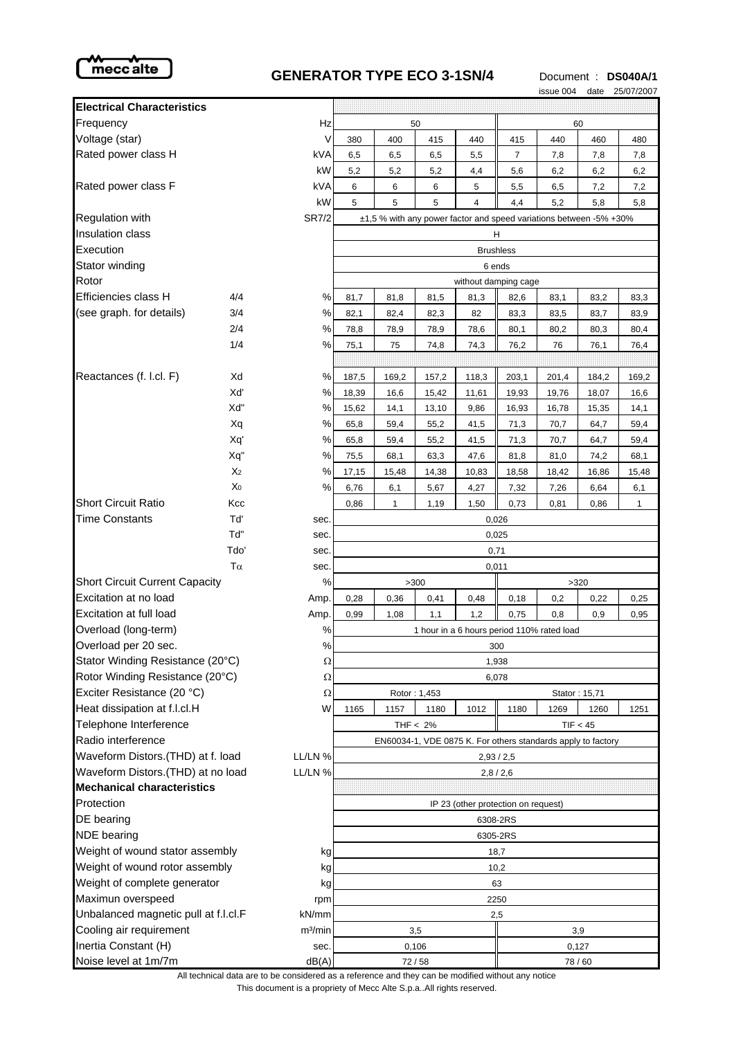

## **GENERATOR TYPE ECO 3-1SN/4** Document : **DS040A/1**

issue 004 date 25/07/2007

| <b>Electrical Characteristics</b>             |                |                                                                    |                                                                                         |       |              |                |                |       |       |       |
|-----------------------------------------------|----------------|--------------------------------------------------------------------|-----------------------------------------------------------------------------------------|-------|--------------|----------------|----------------|-------|-------|-------|
| Frequency                                     |                | Hz                                                                 | 50                                                                                      |       |              |                | 60             |       |       |       |
| Voltage (star)                                |                | V                                                                  | 380                                                                                     | 400   | 415          | 440            | 415            | 440   | 460   | 480   |
| Rated power class H                           |                | kVA                                                                | 6,5                                                                                     | 6,5   | 6,5          | 5,5            | $\overline{7}$ | 7,8   | 7,8   | 7,8   |
|                                               |                | kW                                                                 | 5,2                                                                                     | 5,2   | 5,2          | 4,4            | 5,6            | 6,2   | 6,2   | 6,2   |
| Rated power class F                           |                | kVA                                                                | 6                                                                                       | 6     | 6            | 5              | 5,5            | 6,5   | 7,2   | 7,2   |
|                                               |                | kW                                                                 | 5                                                                                       | 5     | 5            | $\overline{4}$ | 4,4            | 5,2   | 5,8   | 5,8   |
| <b>Regulation with</b><br><b>SR7/2</b>        |                | ±1,5 % with any power factor and speed variations between -5% +30% |                                                                                         |       |              |                |                |       |       |       |
| <b>Insulation class</b>                       |                |                                                                    | н                                                                                       |       |              |                |                |       |       |       |
| Execution                                     |                |                                                                    | <b>Brushless</b>                                                                        |       |              |                |                |       |       |       |
| Stator winding                                |                |                                                                    | 6 ends                                                                                  |       |              |                |                |       |       |       |
| Rotor                                         |                |                                                                    | without damping cage                                                                    |       |              |                |                |       |       |       |
| Efficiencies class H                          | 4/4            | ℅                                                                  | 81,7                                                                                    | 81,8  | 81,5         | 81,3           | 82,6           | 83,1  | 83,2  | 83,3  |
| (see graph. for details)                      | 3/4            | %                                                                  | 82,1                                                                                    | 82,4  | 82,3         | 82             | 83,3           | 83,5  | 83,7  | 83,9  |
|                                               | 2/4            | %                                                                  | 78,8                                                                                    | 78,9  | 78,9         | 78,6           | 80,1           | 80,2  | 80,3  | 80,4  |
|                                               | 1/4            | %                                                                  | 75,1                                                                                    | 75    | 74,8         | 74,3           | 76,2           | 76    | 76,1  | 76,4  |
|                                               |                |                                                                    |                                                                                         |       |              |                |                |       |       |       |
| Reactances (f. l.cl. F)                       | Xd             | ℅                                                                  | 187,5                                                                                   | 169,2 | 157,2        | 118,3          | 203,1          | 201,4 | 184,2 | 169,2 |
|                                               | Xď             | %                                                                  | 18,39                                                                                   | 16,6  | 15,42        | 11,61          | 19,93          | 19,76 | 18,07 | 16,6  |
|                                               | Xd"            | %                                                                  | 15,62                                                                                   | 14,1  | 13,10        | 9,86           | 16,93          | 16,78 | 15,35 | 14,1  |
|                                               | Xq             | %                                                                  | 65,8                                                                                    | 59,4  | 55,2         | 41,5           | 71,3           | 70,7  | 64,7  | 59,4  |
|                                               | Xq'            | %                                                                  | 65,8                                                                                    | 59,4  | 55,2         | 41,5           | 71,3           | 70,7  | 64,7  | 59,4  |
|                                               | Xq"            | %                                                                  | 75,5                                                                                    | 68,1  | 63,3         | 47,6           | 81,8           | 81,0  | 74,2  | 68,1  |
|                                               | X <sub>2</sub> | %                                                                  | 17,15                                                                                   | 15,48 | 14,38        | 10,83          | 18,58          | 18,42 | 16,86 | 15,48 |
|                                               | Χo             | %                                                                  | 6,76                                                                                    | 6,1   | 5,67         | 4,27           | 7,32           | 7,26  | 6,64  | 6,1   |
| <b>Short Circuit Ratio</b>                    | Kcc            |                                                                    | 0,86                                                                                    | 1     | 1,19         | 1,50           | 0,73           | 0,81  | 0,86  | 1     |
| <b>Time Constants</b>                         | Tď             | sec.                                                               | 0,026                                                                                   |       |              |                |                |       |       |       |
|                                               | Td"            | sec.                                                               | 0,025                                                                                   |       |              |                |                |       |       |       |
|                                               | Tdo'           | sec.                                                               | 0,71                                                                                    |       |              |                |                |       |       |       |
| $T\alpha$                                     |                | sec.                                                               | 0,011                                                                                   |       |              |                |                |       |       |       |
| <b>Short Circuit Current Capacity</b>         |                | %                                                                  | >300<br>>320                                                                            |       |              |                |                |       |       |       |
| Excitation at no load                         |                | Amp.                                                               | 0,28                                                                                    | 0,36  | 0,41         | 0,48           | 0,18           | 0,2   | 0,22  | 0,25  |
| Excitation at full load                       |                | Amp.                                                               | 0,99                                                                                    | 1,08  | 1,1          | 1,2            | 0,75           | 0,8   | 0,9   | 0,95  |
| Overload (long-term)                          |                | %                                                                  | 1 hour in a 6 hours period 110% rated load                                              |       |              |                |                |       |       |       |
| Overload per 20 sec.                          |                | %                                                                  | 300                                                                                     |       |              |                |                |       |       |       |
| Stator Winding Resistance (20°C)              |                | Ω                                                                  | 1,938                                                                                   |       |              |                |                |       |       |       |
| Rotor Winding Resistance (20°C)               |                | Ω                                                                  | 6,078<br>Stator: 15,71                                                                  |       |              |                |                |       |       |       |
| Exciter Resistance (20 °C)                    |                | Ω                                                                  |                                                                                         |       | Rotor: 1,453 |                |                |       |       |       |
| Heat dissipation at f.l.cl.H                  |                | W                                                                  | 1165                                                                                    | 1157  | 1180         | 1012           | 1180           | 1269  | 1260  | 1251  |
| Telephone Interference<br>Radio interference  |                |                                                                    | THF $< 2\%$<br>TIF < 45<br>EN60034-1, VDE 0875 K. For others standards apply to factory |       |              |                |                |       |       |       |
| Waveform Distors.(THD) at f. load<br>LL/LN %  |                | 2,93/2,5                                                           |                                                                                         |       |              |                |                |       |       |       |
| Waveform Distors.(THD) at no load<br>LL/LN %  |                | 2,8/2,6                                                            |                                                                                         |       |              |                |                |       |       |       |
| <b>Mechanical characteristics</b>             |                |                                                                    |                                                                                         |       |              |                |                |       |       |       |
| Protection                                    |                | IP 23 (other protection on request)                                |                                                                                         |       |              |                |                |       |       |       |
| DE bearing                                    |                | 6308-2RS                                                           |                                                                                         |       |              |                |                |       |       |       |
| NDE bearing                                   |                | 6305-2RS                                                           |                                                                                         |       |              |                |                |       |       |       |
| Weight of wound stator assembly<br>kg         |                | 18,7                                                               |                                                                                         |       |              |                |                |       |       |       |
| Weight of wound rotor assembly<br>kg          |                | 10,2                                                               |                                                                                         |       |              |                |                |       |       |       |
| Weight of complete generator<br>kg            |                | 63                                                                 |                                                                                         |       |              |                |                |       |       |       |
| Maximun overspeed<br>rpm                      |                | 2250                                                               |                                                                                         |       |              |                |                |       |       |       |
| Unbalanced magnetic pull at f.l.cl.F<br>kN/mm |                | 2,5                                                                |                                                                                         |       |              |                |                |       |       |       |
| Cooling air requirement                       |                | m <sup>3</sup> /min                                                | 3,5<br>3,9                                                                              |       |              |                |                |       |       |       |
| Inertia Constant (H)                          |                | sec.                                                               | 0,106<br>0,127                                                                          |       |              |                |                |       |       |       |
| Noise level at 1m/7m                          |                | dB(A)                                                              | 72/58                                                                                   |       |              |                | 78 / 60        |       |       |       |

This document is a propriety of Mecc Alte S.p.a..All rights reserved. All technical data are to be considered as a reference and they can be modified without any notice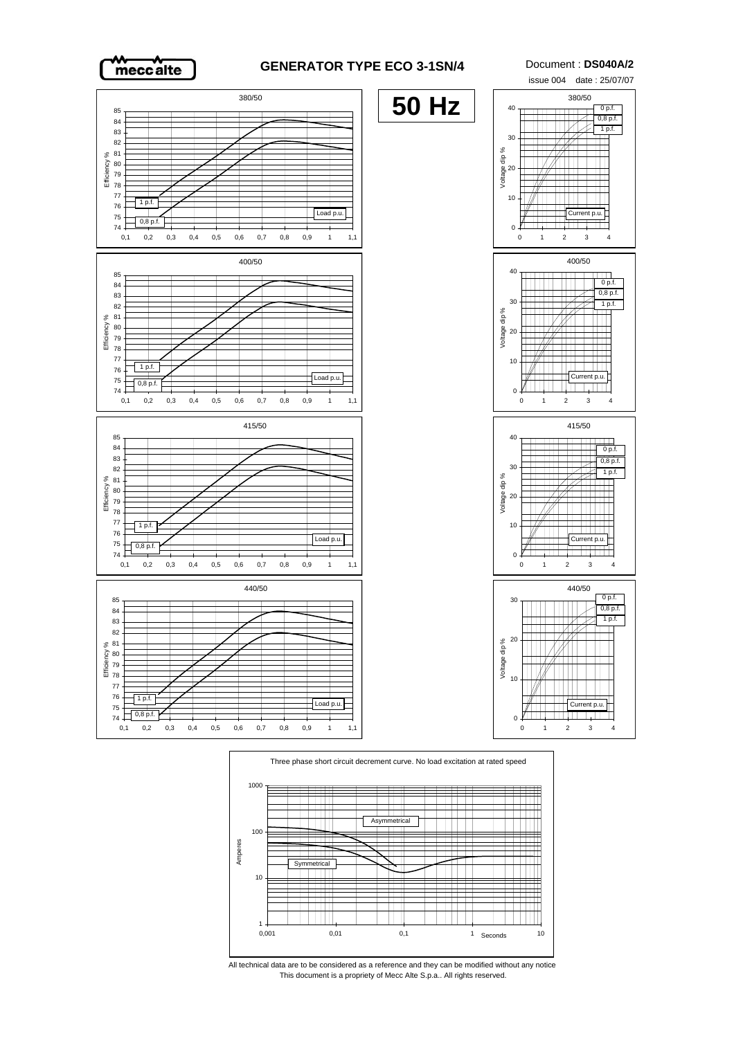

## **GENERATOR TYPE ECO 3-1SN/4** Document : **DS040A/2**





This document is a propriety of Mecc Alte S.p.a.. All rights reserved. All technical data are to be considered as a reference and they can be modified without any notice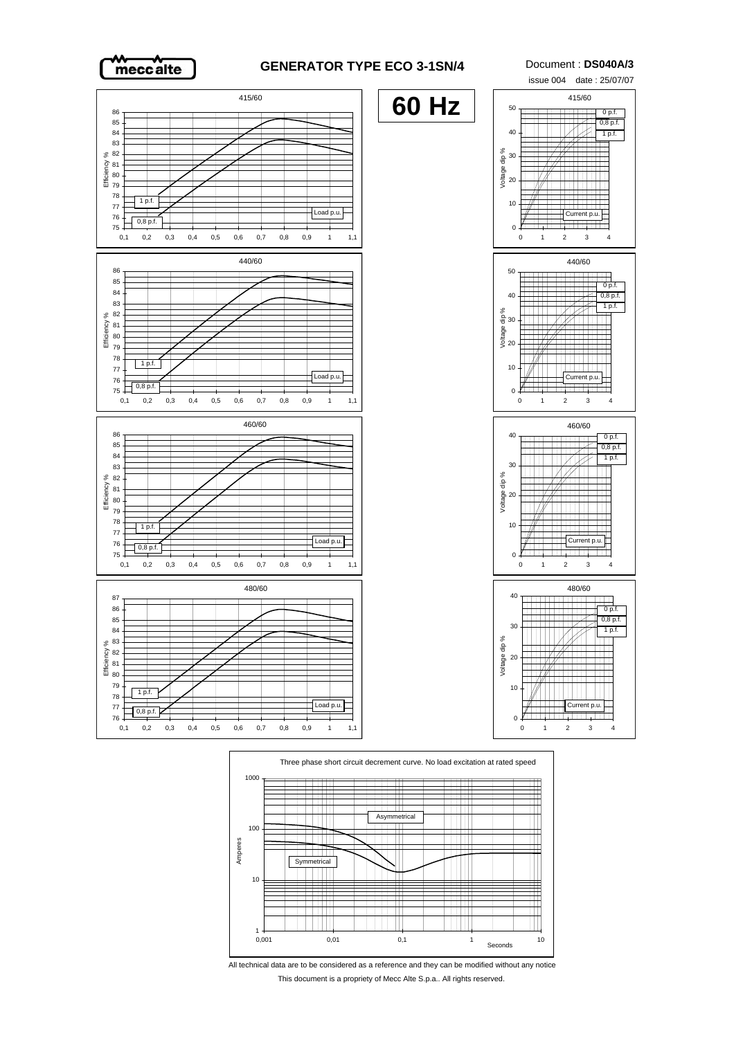

## **GENERATOR TYPE ECO 3-1SN/4** Document : **DS040A/3**





All technical data are to be considered as a reference and they can be modified without any notice This document is a propriety of Mecc Alte S.p.a.. All rights reserved.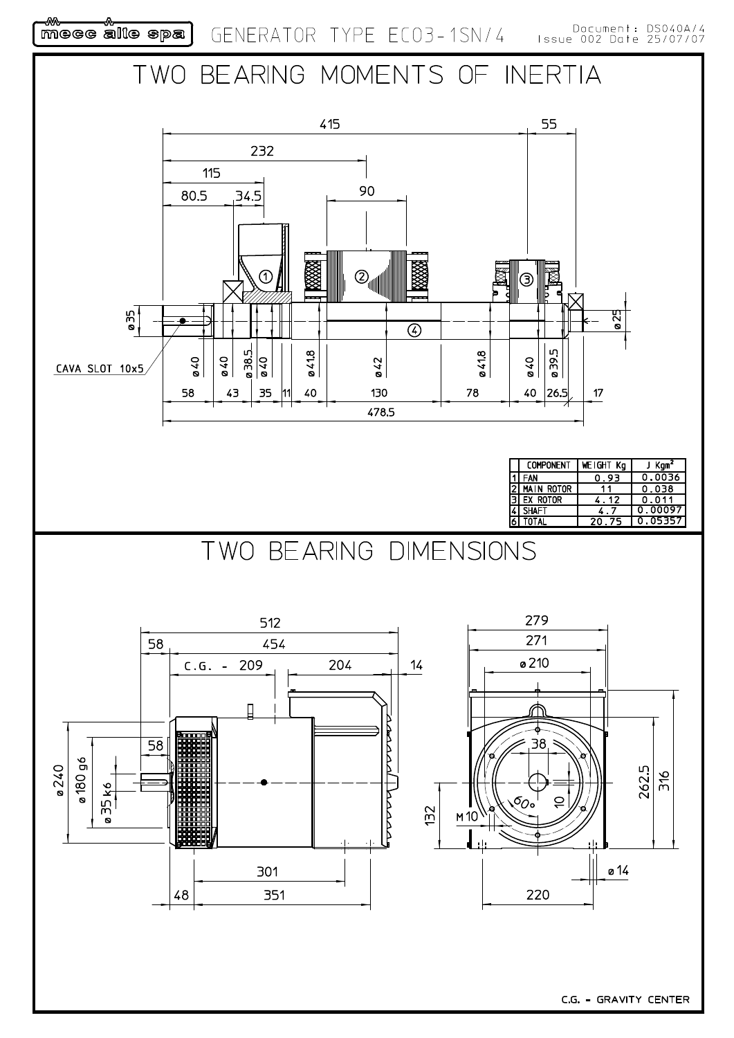